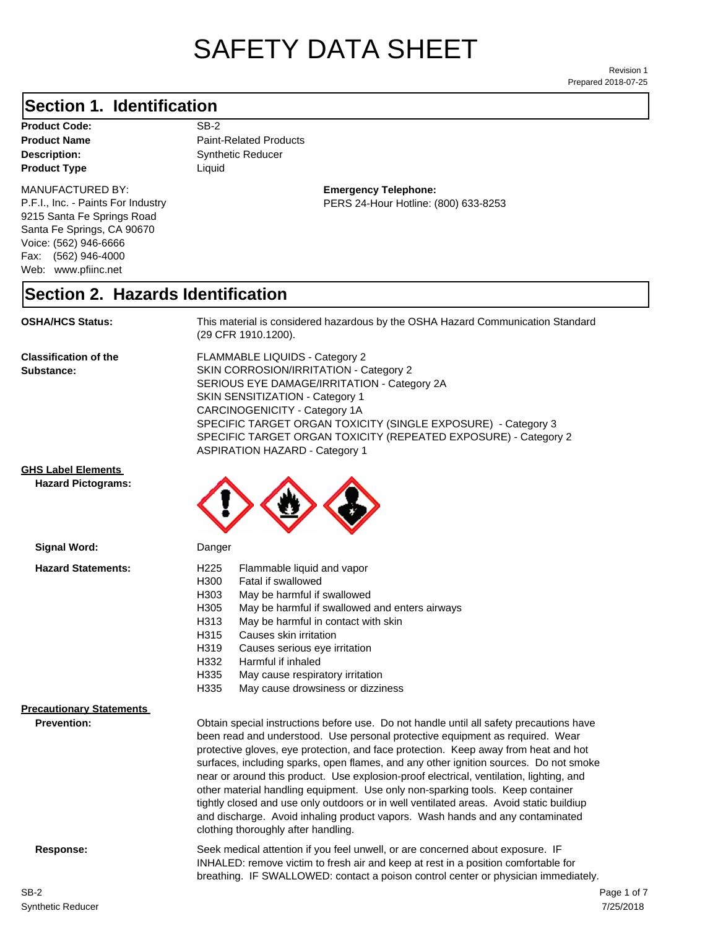# SAFETY DATA SHEET

Prepared 2018-07-25 Revision 1

# **Section 1. Identification**

Product Code: SB-2 **Product Type Liquid Liquid** 

#### MANUFACTURED BY:

P.F.I., Inc. - Paints For Industry 9215 Santa Fe Springs Road Santa Fe Springs, CA 90670 Voice: (562) 946-6666 Fax: (562) 946-4000 Web: www.pfiinc.net

**Description:** Synthetic Reducer **Product Name** Paint-Related Products

> **Emergency Telephone:** PERS 24-Hour Hotline: (800) 633-8253

#### **Section 2. Hazards Identification**

**OSHA/HCS Status:** This material is considered hazardous by the OSHA Hazard Communication Standard (29 CFR 1910.1200).

**Classification of the Substance:**

FLAMMABLE LIQUIDS - Category 2 SKIN CORROSION/IRRITATION - Category 2 SERIOUS EYE DAMAGE/IRRITATION - Category 2A SKIN SENSITIZATION - Category 1 CARCINOGENICITY - Category 1A SPECIFIC TARGET ORGAN TOXICITY (SINGLE EXPOSURE) - Category 3 SPECIFIC TARGET ORGAN TOXICITY (REPEATED EXPOSURE) - Category 2 ASPIRATION HAZARD - Category 1

#### **GHS Label Elements**

**Signal Word:**

**Hazard Pictograms:**



| <b>Hazard Statements:</b>                             | H <sub>225</sub><br>Flammable liquid and vapor<br>H <sub>300</sub><br>Fatal if swallowed<br>May be harmful if swallowed<br>H303<br>H <sub>305</sub><br>May be harmful if swallowed and enters airways<br>H313<br>May be harmful in contact with skin<br>Causes skin irritation<br>H315<br>H319<br>Causes serious eye irritation<br>Harmful if inhaled<br>H332<br>H335<br>May cause respiratory irritation<br>H335<br>May cause drowsiness or dizziness                                                                                                                                                                                                                                                                                                   |
|-------------------------------------------------------|----------------------------------------------------------------------------------------------------------------------------------------------------------------------------------------------------------------------------------------------------------------------------------------------------------------------------------------------------------------------------------------------------------------------------------------------------------------------------------------------------------------------------------------------------------------------------------------------------------------------------------------------------------------------------------------------------------------------------------------------------------|
| <b>Precautionary Statements</b><br><b>Prevention:</b> | Obtain special instructions before use. Do not handle until all safety precautions have<br>been read and understood. Use personal protective equipment as required. Wear<br>protective gloves, eye protection, and face protection. Keep away from heat and hot<br>surfaces, including sparks, open flames, and any other ignition sources. Do not smoke<br>near or around this product. Use explosion-proof electrical, ventilation, lighting, and<br>other material handling equipment. Use only non-sparking tools. Keep container<br>tightly closed and use only outdoors or in well ventilated areas. Avoid static buildiup<br>and discharge. Avoid inhaling product vapors. Wash hands and any contaminated<br>clothing thoroughly after handling. |
| Response:                                             | Seek medical attention if you feel unwell, or are concerned about exposure. IF<br>INHALED: remove victim to fresh air and keep at rest in a position comfortable for<br>breathing. IF SWALLOWED: contact a poison control center or physician immediately.                                                                                                                                                                                                                                                                                                                                                                                                                                                                                               |
| SR-2                                                  | Page                                                                                                                                                                                                                                                                                                                                                                                                                                                                                                                                                                                                                                                                                                                                                     |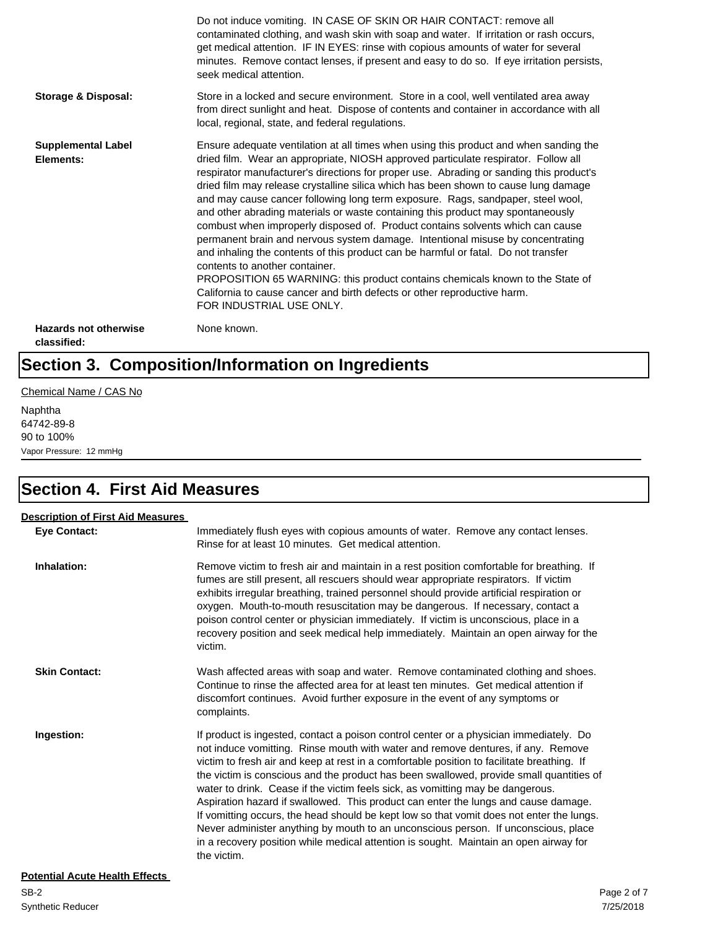|                                             | Do not induce vomiting. IN CASE OF SKIN OR HAIR CONTACT: remove all<br>contaminated clothing, and wash skin with soap and water. If irritation or rash occurs,<br>get medical attention. IF IN EYES: rinse with copious amounts of water for several<br>minutes. Remove contact lenses, if present and easy to do so. If eye irritation persists,<br>seek medical attention.                                                                                                                                                                                                                                                                                                                                                                                                                                                                                                                                                                                                                                             |
|---------------------------------------------|--------------------------------------------------------------------------------------------------------------------------------------------------------------------------------------------------------------------------------------------------------------------------------------------------------------------------------------------------------------------------------------------------------------------------------------------------------------------------------------------------------------------------------------------------------------------------------------------------------------------------------------------------------------------------------------------------------------------------------------------------------------------------------------------------------------------------------------------------------------------------------------------------------------------------------------------------------------------------------------------------------------------------|
| Storage & Disposal:                         | Store in a locked and secure environment. Store in a cool, well ventilated area away<br>from direct sunlight and heat. Dispose of contents and container in accordance with all<br>local, regional, state, and federal regulations.                                                                                                                                                                                                                                                                                                                                                                                                                                                                                                                                                                                                                                                                                                                                                                                      |
| <b>Supplemental Label</b><br>Elements:      | Ensure adequate ventilation at all times when using this product and when sanding the<br>dried film. Wear an appropriate, NIOSH approved particulate respirator. Follow all<br>respirator manufacturer's directions for proper use. Abrading or sanding this product's<br>dried film may release crystalline silica which has been shown to cause lung damage<br>and may cause cancer following long term exposure. Rags, sandpaper, steel wool,<br>and other abrading materials or waste containing this product may spontaneously<br>combust when improperly disposed of. Product contains solvents which can cause<br>permanent brain and nervous system damage. Intentional misuse by concentrating<br>and inhaling the contents of this product can be harmful or fatal. Do not transfer<br>contents to another container.<br>PROPOSITION 65 WARNING: this product contains chemicals known to the State of<br>California to cause cancer and birth defects or other reproductive harm.<br>FOR INDUSTRIAL USE ONLY. |
| <b>Hazards not otherwise</b><br>classified: | None known.                                                                                                                                                                                                                                                                                                                                                                                                                                                                                                                                                                                                                                                                                                                                                                                                                                                                                                                                                                                                              |

# **Section 3. Composition/Information on Ingredients**

Chemical Name / CAS No

Naphtha 64742-89-8 90 to 100% Vapor Pressure: 12 mmHg

# **Section 4. First Aid Measures**

| <b>Description of First Aid Measures</b> |                                                                                                                                                                                                                                                                                                                                                                                                                                                                                                                                                                                                                                                                                                                                                                                                                                       |
|------------------------------------------|---------------------------------------------------------------------------------------------------------------------------------------------------------------------------------------------------------------------------------------------------------------------------------------------------------------------------------------------------------------------------------------------------------------------------------------------------------------------------------------------------------------------------------------------------------------------------------------------------------------------------------------------------------------------------------------------------------------------------------------------------------------------------------------------------------------------------------------|
| <b>Eve Contact:</b>                      | Immediately flush eyes with copious amounts of water. Remove any contact lenses.<br>Rinse for at least 10 minutes. Get medical attention.                                                                                                                                                                                                                                                                                                                                                                                                                                                                                                                                                                                                                                                                                             |
| Inhalation:                              | Remove victim to fresh air and maintain in a rest position comfortable for breathing. If<br>fumes are still present, all rescuers should wear appropriate respirators. If victim<br>exhibits irregular breathing, trained personnel should provide artificial respiration or<br>oxygen. Mouth-to-mouth resuscitation may be dangerous. If necessary, contact a<br>poison control center or physician immediately. If victim is unconscious, place in a<br>recovery position and seek medical help immediately. Maintain an open airway for the<br>victim.                                                                                                                                                                                                                                                                             |
| <b>Skin Contact:</b>                     | Wash affected areas with soap and water. Remove contaminated clothing and shoes.<br>Continue to rinse the affected area for at least ten minutes. Get medical attention if<br>discomfort continues. Avoid further exposure in the event of any symptoms or<br>complaints.                                                                                                                                                                                                                                                                                                                                                                                                                                                                                                                                                             |
| Ingestion:                               | If product is ingested, contact a poison control center or a physician immediately. Do<br>not induce vomitting. Rinse mouth with water and remove dentures, if any. Remove<br>victim to fresh air and keep at rest in a comfortable position to facilitate breathing. If<br>the victim is conscious and the product has been swallowed, provide small quantities of<br>water to drink. Cease if the victim feels sick, as vomitting may be dangerous.<br>Aspiration hazard if swallowed. This product can enter the lungs and cause damage.<br>If vomitting occurs, the head should be kept low so that vomit does not enter the lungs.<br>Never administer anything by mouth to an unconscious person. If unconscious, place<br>in a recovery position while medical attention is sought. Maintain an open airway for<br>the victim. |
| <b>Potential Acute Health Effects</b>    |                                                                                                                                                                                                                                                                                                                                                                                                                                                                                                                                                                                                                                                                                                                                                                                                                                       |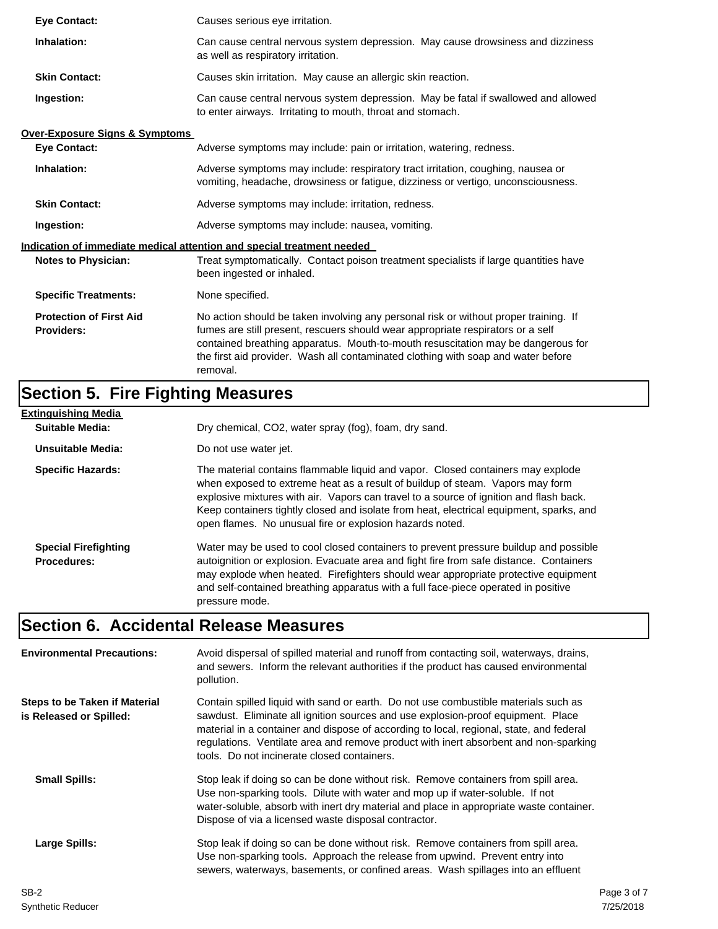| <b>Eve Contact:</b>                                 | Causes serious eye irritation.                                                                                                                                                                                                                                                                                                                               |
|-----------------------------------------------------|--------------------------------------------------------------------------------------------------------------------------------------------------------------------------------------------------------------------------------------------------------------------------------------------------------------------------------------------------------------|
| Inhalation:                                         | Can cause central nervous system depression. May cause drowsiness and dizziness<br>as well as respiratory irritation.                                                                                                                                                                                                                                        |
| <b>Skin Contact:</b>                                | Causes skin irritation. May cause an allergic skin reaction.                                                                                                                                                                                                                                                                                                 |
| Ingestion:                                          | Can cause central nervous system depression. May be fatal if swallowed and allowed<br>to enter airways. Irritating to mouth, throat and stomach.                                                                                                                                                                                                             |
| <b>Over-Exposure Signs &amp; Symptoms</b>           |                                                                                                                                                                                                                                                                                                                                                              |
| <b>Eve Contact:</b>                                 | Adverse symptoms may include: pain or irritation, watering, redness.                                                                                                                                                                                                                                                                                         |
| Inhalation:                                         | Adverse symptoms may include: respiratory tract irritation, coughing, nausea or<br>vomiting, headache, drowsiness or fatigue, dizziness or vertigo, unconsciousness.                                                                                                                                                                                         |
| <b>Skin Contact:</b>                                | Adverse symptoms may include: irritation, redness.                                                                                                                                                                                                                                                                                                           |
| Ingestion:                                          | Adverse symptoms may include: nausea, vomiting.                                                                                                                                                                                                                                                                                                              |
|                                                     | Indication of immediate medical attention and special treatment needed                                                                                                                                                                                                                                                                                       |
| <b>Notes to Physician:</b>                          | Treat symptomatically. Contact poison treatment specialists if large quantities have<br>been ingested or inhaled.                                                                                                                                                                                                                                            |
| <b>Specific Treatments:</b>                         | None specified.                                                                                                                                                                                                                                                                                                                                              |
| <b>Protection of First Aid</b><br><b>Providers:</b> | No action should be taken involving any personal risk or without proper training. If<br>fumes are still present, rescuers should wear appropriate respirators or a self<br>contained breathing apparatus. Mouth-to-mouth resuscitation may be dangerous for<br>the first aid provider. Wash all contaminated clothing with soap and water before<br>removal. |

# **Section 5. Fire Fighting Measures**

| <b>Extinguishing Media</b>                        |                                                                                                                                                                                                                                                                                                                                                                                                                   |
|---------------------------------------------------|-------------------------------------------------------------------------------------------------------------------------------------------------------------------------------------------------------------------------------------------------------------------------------------------------------------------------------------------------------------------------------------------------------------------|
| <b>Suitable Media:</b>                            | Dry chemical, CO2, water spray (fog), foam, dry sand.                                                                                                                                                                                                                                                                                                                                                             |
| Unsuitable Media:                                 | Do not use water jet.                                                                                                                                                                                                                                                                                                                                                                                             |
| <b>Specific Hazards:</b>                          | The material contains flammable liquid and vapor. Closed containers may explode<br>when exposed to extreme heat as a result of buildup of steam. Vapors may form<br>explosive mixtures with air. Vapors can travel to a source of ignition and flash back.<br>Keep containers tightly closed and isolate from heat, electrical equipment, sparks, and<br>open flames. No unusual fire or explosion hazards noted. |
| <b>Special Firefighting</b><br><b>Procedures:</b> | Water may be used to cool closed containers to prevent pressure buildup and possible<br>autoignition or explosion. Evacuate area and fight fire from safe distance. Containers<br>may explode when heated. Firefighters should wear appropriate protective equipment<br>and self-contained breathing apparatus with a full face-piece operated in positive<br>pressure mode.                                      |

# **Section 6. Accidental Release Measures**

| <b>Environmental Precautions:</b>                        | Avoid dispersal of spilled material and runoff from contacting soil, waterways, drains,<br>and sewers. Inform the relevant authorities if the product has caused environmental<br>pollution.                                                                                                                                                                                                              |             |
|----------------------------------------------------------|-----------------------------------------------------------------------------------------------------------------------------------------------------------------------------------------------------------------------------------------------------------------------------------------------------------------------------------------------------------------------------------------------------------|-------------|
| Steps to be Taken if Material<br>is Released or Spilled: | Contain spilled liquid with sand or earth. Do not use combustible materials such as<br>sawdust. Eliminate all ignition sources and use explosion-proof equipment. Place<br>material in a container and dispose of according to local, regional, state, and federal<br>regulations. Ventilate area and remove product with inert absorbent and non-sparking<br>tools. Do not incinerate closed containers. |             |
| <b>Small Spills:</b>                                     | Stop leak if doing so can be done without risk. Remove containers from spill area.<br>Use non-sparking tools. Dilute with water and mop up if water-soluble. If not<br>water-soluble, absorb with inert dry material and place in appropriate waste container.<br>Dispose of via a licensed waste disposal contractor.                                                                                    |             |
| Large Spills:                                            | Stop leak if doing so can be done without risk. Remove containers from spill area.<br>Use non-sparking tools. Approach the release from upwind. Prevent entry into<br>sewers, waterways, basements, or confined areas. Wash spillages into an effluent                                                                                                                                                    |             |
| SB-2                                                     |                                                                                                                                                                                                                                                                                                                                                                                                           | Page 3 of 7 |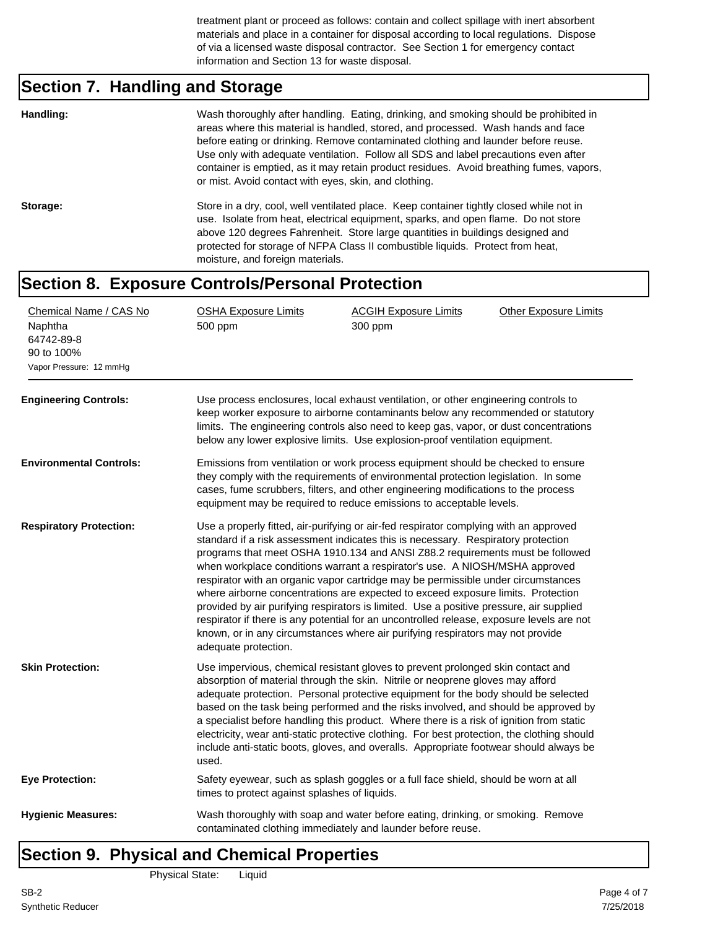treatment plant or proceed as follows: contain and collect spillage with inert absorbent materials and place in a container for disposal according to local regulations. Dispose of via a licensed waste disposal contractor. See Section 1 for emergency contact information and Section 13 for waste disposal.

# **Section 7. Handling and Storage**

| Handling: | Wash thoroughly after handling. Eating, drinking, and smoking should be prohibited in<br>areas where this material is handled, stored, and processed. Wash hands and face<br>before eating or drinking. Remove contaminated clothing and launder before reuse.<br>Use only with adequate ventilation. Follow all SDS and label precautions even after<br>container is emptied, as it may retain product residues. Avoid breathing fumes, vapors,<br>or mist. Avoid contact with eyes, skin, and clothing. |
|-----------|-----------------------------------------------------------------------------------------------------------------------------------------------------------------------------------------------------------------------------------------------------------------------------------------------------------------------------------------------------------------------------------------------------------------------------------------------------------------------------------------------------------|
| Storage:  | Store in a dry, cool, well ventilated place. Keep container tightly closed while not in<br>use. Isolate from heat, electrical equipment, sparks, and open flame. Do not store<br>above 120 degrees Fahrenheit. Store large quantities in buildings designed and<br>protected for storage of NFPA Class II combustible liquids. Protect from heat,<br>moisture, and foreign materials.                                                                                                                     |
| 0.21220   | Evropeuro Controle/Derocral Drotection                                                                                                                                                                                                                                                                                                                                                                                                                                                                    |

#### **Section 8. Exposure Controls/Personal Protection**

| Chemical Name / CAS No<br>Naphtha<br>64742-89-8<br>90 to 100%<br>Vapor Pressure: 12 mmHg | <b>OSHA Exposure Limits</b><br>500 ppm                                                                                                                                                                                                                                                                                                                                                                                                                                                                                                                                                                                                                                                                                                                                                                                | <b>ACGIH Exposure Limits</b><br>300 ppm | <b>Other Exposure Limits</b> |  |  |
|------------------------------------------------------------------------------------------|-----------------------------------------------------------------------------------------------------------------------------------------------------------------------------------------------------------------------------------------------------------------------------------------------------------------------------------------------------------------------------------------------------------------------------------------------------------------------------------------------------------------------------------------------------------------------------------------------------------------------------------------------------------------------------------------------------------------------------------------------------------------------------------------------------------------------|-----------------------------------------|------------------------------|--|--|
| <b>Engineering Controls:</b>                                                             | Use process enclosures, local exhaust ventilation, or other engineering controls to<br>keep worker exposure to airborne contaminants below any recommended or statutory<br>limits. The engineering controls also need to keep gas, vapor, or dust concentrations<br>below any lower explosive limits. Use explosion-proof ventilation equipment.                                                                                                                                                                                                                                                                                                                                                                                                                                                                      |                                         |                              |  |  |
| <b>Environmental Controls:</b>                                                           | Emissions from ventilation or work process equipment should be checked to ensure<br>they comply with the requirements of environmental protection legislation. In some<br>cases, fume scrubbers, filters, and other engineering modifications to the process<br>equipment may be required to reduce emissions to acceptable levels.                                                                                                                                                                                                                                                                                                                                                                                                                                                                                   |                                         |                              |  |  |
| <b>Respiratory Protection:</b>                                                           | Use a properly fitted, air-purifying or air-fed respirator complying with an approved<br>standard if a risk assessment indicates this is necessary. Respiratory protection<br>programs that meet OSHA 1910.134 and ANSI Z88.2 requirements must be followed<br>when workplace conditions warrant a respirator's use. A NIOSH/MSHA approved<br>respirator with an organic vapor cartridge may be permissible under circumstances<br>where airborne concentrations are expected to exceed exposure limits. Protection<br>provided by air purifying respirators is limited. Use a positive pressure, air supplied<br>respirator if there is any potential for an uncontrolled release, exposure levels are not<br>known, or in any circumstances where air purifying respirators may not provide<br>adequate protection. |                                         |                              |  |  |
| <b>Skin Protection:</b>                                                                  | Use impervious, chemical resistant gloves to prevent prolonged skin contact and<br>absorption of material through the skin. Nitrile or neoprene gloves may afford<br>adequate protection. Personal protective equipment for the body should be selected<br>based on the task being performed and the risks involved, and should be approved by<br>a specialist before handling this product. Where there is a risk of ignition from static<br>electricity, wear anti-static protective clothing. For best protection, the clothing should<br>include anti-static boots, gloves, and overalls. Appropriate footwear should always be<br>used.                                                                                                                                                                          |                                         |                              |  |  |
| <b>Eye Protection:</b>                                                                   | Safety eyewear, such as splash goggles or a full face shield, should be worn at all<br>times to protect against splashes of liquids.                                                                                                                                                                                                                                                                                                                                                                                                                                                                                                                                                                                                                                                                                  |                                         |                              |  |  |
| <b>Hygienic Measures:</b>                                                                | Wash thoroughly with soap and water before eating, drinking, or smoking. Remove<br>contaminated clothing immediately and launder before reuse.                                                                                                                                                                                                                                                                                                                                                                                                                                                                                                                                                                                                                                                                        |                                         |                              |  |  |

# **Section 9. Physical and Chemical Properties**

Physical State: Liquid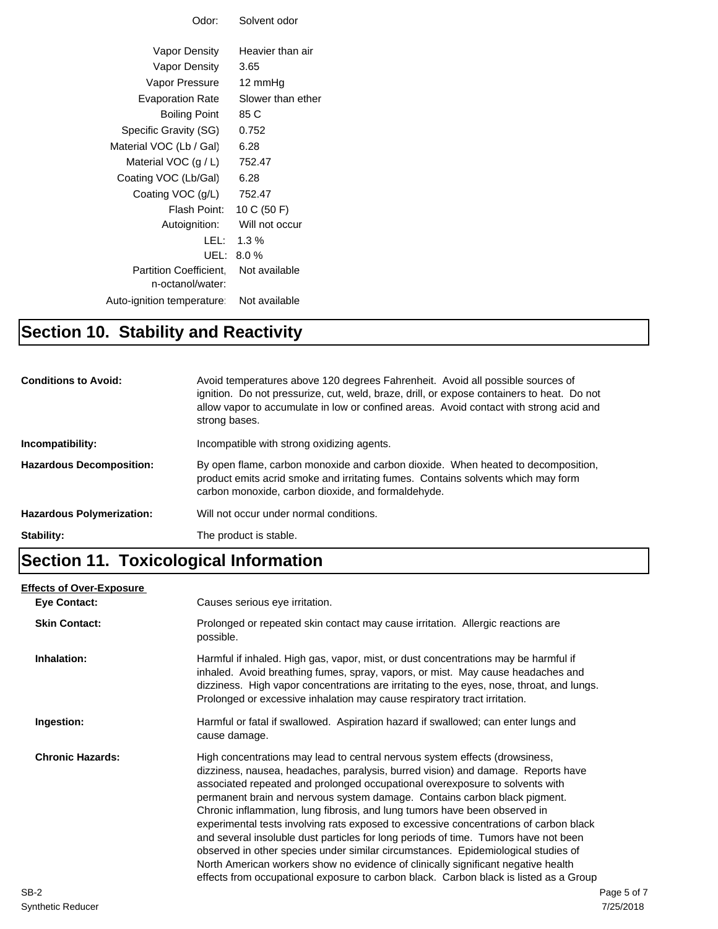| Odor:                                | Solvent odor                 |
|--------------------------------------|------------------------------|
|                                      |                              |
| Vapor Density                        | Heavier than air             |
| Vapor Density                        | 3.65                         |
| Vapor Pressure                       | 12 mmHg                      |
| Evaporation Rate                     | Slower than ether            |
| Boiling Point                        | 85 C                         |
| Specific Gravity (SG)                | 0.752                        |
| Material VOC (Lb / Gal)              | 6.28                         |
| Material VOC $(g/L)$                 | 752.47                       |
| Coating VOC (Lb/Gal)                 | 6.28                         |
| Coating VOC (g/L)                    | 752.47                       |
| Flash Point:                         | 10 C (50 F)                  |
|                                      | Autoignition: Will not occur |
| LEL: I                               | $1.3\%$                      |
| UEL:                                 | 8.0%                         |
| Partition Coefficient. Not available |                              |
| n-octanol/water:                     |                              |
| Auto-ignition temperature:           | Not available                |
|                                      |                              |

# **Section 10. Stability and Reactivity**

| <b>Conditions to Avoid:</b>      | Avoid temperatures above 120 degrees Fahrenheit. Avoid all possible sources of<br>ignition. Do not pressurize, cut, weld, braze, drill, or expose containers to heat. Do not<br>allow vapor to accumulate in low or confined areas. Avoid contact with strong acid and<br>strong bases. |
|----------------------------------|-----------------------------------------------------------------------------------------------------------------------------------------------------------------------------------------------------------------------------------------------------------------------------------------|
| Incompatibility:                 | Incompatible with strong oxidizing agents.                                                                                                                                                                                                                                              |
| <b>Hazardous Decomposition:</b>  | By open flame, carbon monoxide and carbon dioxide. When heated to decomposition,<br>product emits acrid smoke and irritating fumes. Contains solvents which may form<br>carbon monoxide, carbon dioxide, and formaldehyde.                                                              |
| <b>Hazardous Polymerization:</b> | Will not occur under normal conditions.                                                                                                                                                                                                                                                 |
| Stability:                       | The product is stable.                                                                                                                                                                                                                                                                  |

# **Section 11. Toxicological Information**

#### **Eye Contact: Skin Contact:** Prolonged or repeated skin contact may cause irritation. Allergic reactions are possible. **Inhalation:** Harmful if inhaled. High gas, vapor, mist, or dust concentrations may be harmful if inhaled. Avoid breathing fumes, spray, vapors, or mist. May cause headaches and dizziness. High vapor concentrations are irritating to the eyes, nose, throat, and lungs. Prolonged or excessive inhalation may cause respiratory tract irritation. **Ingestion:** Harmful or fatal if swallowed. Aspiration hazard if swallowed; can enter lungs and cause damage. **Chronic Hazards:** High concentrations may lead to central nervous system effects (drowsiness, dizziness, nausea, headaches, paralysis, burred vision) and damage. Reports have associated repeated and prolonged occupational overexposure to solvents with permanent brain and nervous system damage. Contains carbon black pigment. Chronic inflammation, lung fibrosis, and lung tumors have been observed in experimental tests involving rats exposed to excessive concentrations of carbon black and several insoluble dust particles for long periods of time. Tumors have not been observed in other species under similar circumstances. Epidemiological studies of North American workers show no evidence of clinically significant negative health effects from occupational exposure to carbon black. Carbon black is listed as a Group **Effects of Over-Exposure** Causes serious eye irritation. SB-2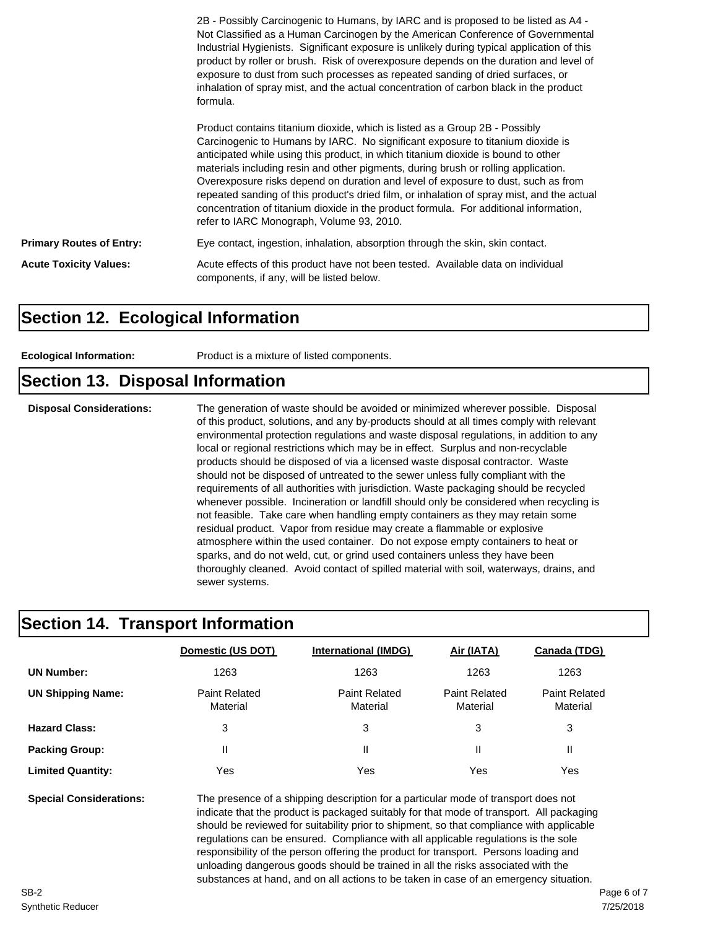|                                 | 2B - Possibly Carcinogenic to Humans, by IARC and is proposed to be listed as A4 -<br>Not Classified as a Human Carcinogen by the American Conference of Governmental<br>Industrial Hygienists. Significant exposure is unlikely during typical application of this<br>product by roller or brush. Risk of overexposure depends on the duration and level of<br>exposure to dust from such processes as repeated sanding of dried surfaces, or<br>inhalation of spray mist, and the actual concentration of carbon black in the product<br>formula.                                                                                                               |
|---------------------------------|-------------------------------------------------------------------------------------------------------------------------------------------------------------------------------------------------------------------------------------------------------------------------------------------------------------------------------------------------------------------------------------------------------------------------------------------------------------------------------------------------------------------------------------------------------------------------------------------------------------------------------------------------------------------|
|                                 | Product contains titanium dioxide, which is listed as a Group 2B - Possibly<br>Carcinogenic to Humans by IARC. No significant exposure to titanium dioxide is<br>anticipated while using this product, in which titanium dioxide is bound to other<br>materials including resin and other pigments, during brush or rolling application.<br>Overexposure risks depend on duration and level of exposure to dust, such as from<br>repeated sanding of this product's dried film, or inhalation of spray mist, and the actual<br>concentration of titanium dioxide in the product formula. For additional information,<br>refer to IARC Monograph, Volume 93, 2010. |
| <b>Primary Routes of Entry:</b> | Eye contact, ingestion, inhalation, absorption through the skin, skin contact.                                                                                                                                                                                                                                                                                                                                                                                                                                                                                                                                                                                    |
| <b>Acute Toxicity Values:</b>   | Acute effects of this product have not been tested. Available data on individual<br>components, if any, will be listed below.                                                                                                                                                                                                                                                                                                                                                                                                                                                                                                                                     |

### **Section 12. Ecological Information**

**Ecological Information:** Product is a mixture of listed components.

#### **Section 13. Disposal Information**

**Disposal Considerations:** The generation of waste should be avoided or minimized wherever possible. Disposal of this product, solutions, and any by-products should at all times comply with relevant environmental protection regulations and waste disposal regulations, in addition to any local or regional restrictions which may be in effect. Surplus and non-recyclable products should be disposed of via a licensed waste disposal contractor. Waste should not be disposed of untreated to the sewer unless fully compliant with the requirements of all authorities with jurisdiction. Waste packaging should be recycled whenever possible. Incineration or landfill should only be considered when recycling is not feasible. Take care when handling empty containers as they may retain some residual product. Vapor from residue may create a flammable or explosive atmosphere within the used container. Do not expose empty containers to heat or sparks, and do not weld, cut, or grind used containers unless they have been thoroughly cleaned. Avoid contact of spilled material with soil, waterways, drains, and sewer systems.

### **Section 14. Transport Information**

|                          | Domestic (US DOT)                | <b>International (IMDG)</b>      | Air (IATA)                       | Canada (TDG)                     |
|--------------------------|----------------------------------|----------------------------------|----------------------------------|----------------------------------|
| <b>UN Number:</b>        | 1263                             | 1263                             | 1263                             | 1263                             |
| <b>UN Shipping Name:</b> | <b>Paint Related</b><br>Material | <b>Paint Related</b><br>Material | <b>Paint Related</b><br>Material | <b>Paint Related</b><br>Material |
| <b>Hazard Class:</b>     | 3                                | 3                                | 3                                | 3                                |
| <b>Packing Group:</b>    | Ш                                | Ш                                |                                  | Ш                                |
| <b>Limited Quantity:</b> | Yes                              | Yes                              | Yes                              | Yes                              |

**Special Considerations:** The presence of a shipping description for a particular mode of transport does not indicate that the product is packaged suitably for that mode of transport. All packaging should be reviewed for suitability prior to shipment, so that compliance with applicable regulations can be ensured. Compliance with all applicable regulations is the sole responsibility of the person offering the product for transport. Persons loading and unloading dangerous goods should be trained in all the risks associated with the substances at hand, and on all actions to be taken in case of an emergency situation.